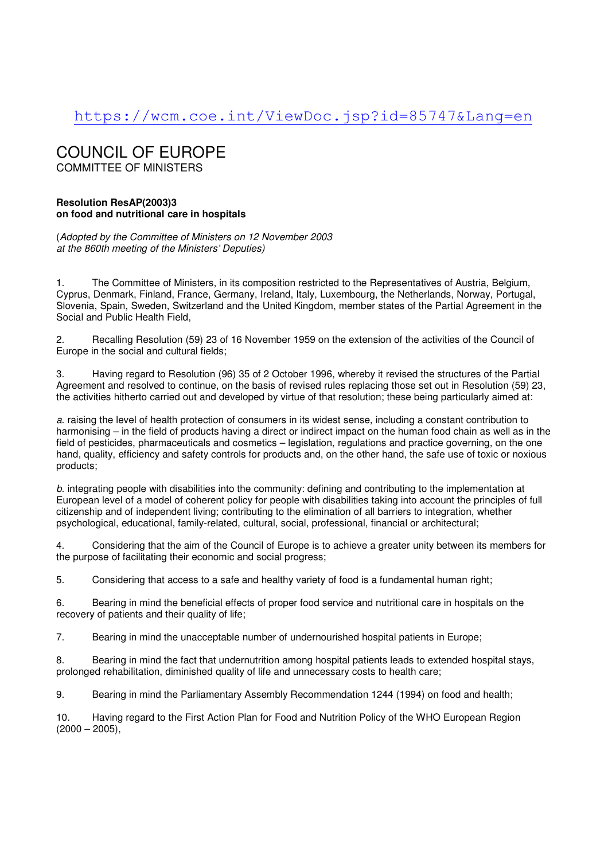## https://wcm.coe.int/ViewDoc.jsp?id=85747&Lang=en

# COUNCIL OF EUROPE

COMMITTEE OF MINISTERS

## **Resolution ResAP(2003)3 on food and nutritional care in hospitals**

(Adopted by the Committee of Ministers on 12 November 2003 at the 860th meeting of the Ministers' Deputies)

1. The Committee of Ministers, in its composition restricted to the Representatives of Austria, Belgium, Cyprus, Denmark, Finland, France, Germany, Ireland, Italy, Luxembourg, the Netherlands, Norway, Portugal, Slovenia, Spain, Sweden, Switzerland and the United Kingdom, member states of the Partial Agreement in the Social and Public Health Field,

2. Recalling Resolution (59) 23 of 16 November 1959 on the extension of the activities of the Council of Europe in the social and cultural fields;

3. Having regard to Resolution (96) 35 of 2 October 1996, whereby it revised the structures of the Partial Agreement and resolved to continue, on the basis of revised rules replacing those set out in Resolution (59) 23, the activities hitherto carried out and developed by virtue of that resolution; these being particularly aimed at:

a. raising the level of health protection of consumers in its widest sense, including a constant contribution to harmonising – in the field of products having a direct or indirect impact on the human food chain as well as in the field of pesticides, pharmaceuticals and cosmetics – legislation, regulations and practice governing, on the one hand, quality, efficiency and safety controls for products and, on the other hand, the safe use of toxic or noxious products;

b. integrating people with disabilities into the community: defining and contributing to the implementation at European level of a model of coherent policy for people with disabilities taking into account the principles of full citizenship and of independent living; contributing to the elimination of all barriers to integration, whether psychological, educational, family-related, cultural, social, professional, financial or architectural;

4. Considering that the aim of the Council of Europe is to achieve a greater unity between its members for the purpose of facilitating their economic and social progress;

5. Considering that access to a safe and healthy variety of food is a fundamental human right;

6. Bearing in mind the beneficial effects of proper food service and nutritional care in hospitals on the recovery of patients and their quality of life;

7. Bearing in mind the unacceptable number of undernourished hospital patients in Europe;

8. Bearing in mind the fact that undernutrition among hospital patients leads to extended hospital stays, prolonged rehabilitation, diminished quality of life and unnecessary costs to health care;

9. Bearing in mind the Parliamentary Assembly Recommendation 1244 (1994) on food and health;

10. Having regard to the First Action Plan for Food and Nutrition Policy of the WHO European Region  $(2000 - 2005)$ ,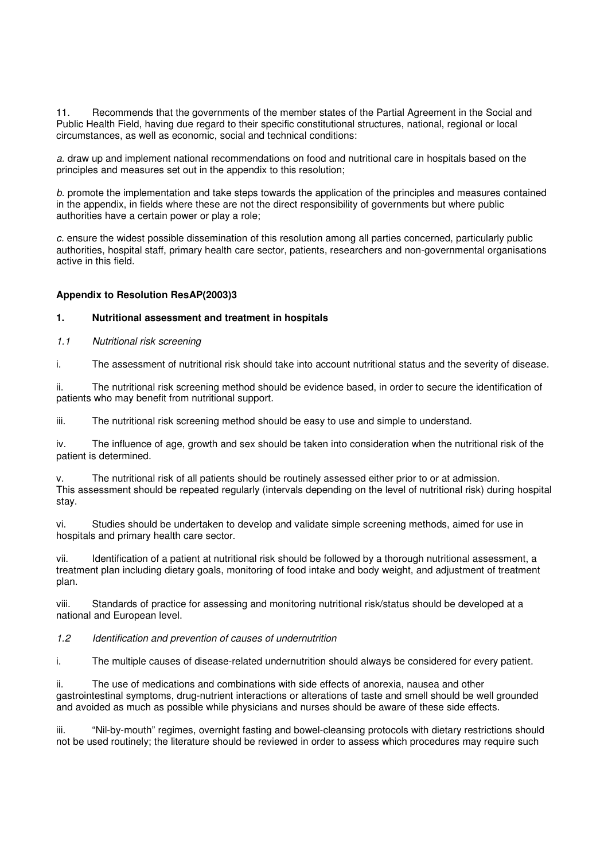11. Recommends that the governments of the member states of the Partial Agreement in the Social and Public Health Field, having due regard to their specific constitutional structures, national, regional or local circumstances, as well as economic, social and technical conditions:

a. draw up and implement national recommendations on food and nutritional care in hospitals based on the principles and measures set out in the appendix to this resolution;

b. promote the implementation and take steps towards the application of the principles and measures contained in the appendix, in fields where these are not the direct responsibility of governments but where public authorities have a certain power or play a role;

c. ensure the widest possible dissemination of this resolution among all parties concerned, particularly public authorities, hospital staff, primary health care sector, patients, researchers and non-governmental organisations active in this field.

## **Appendix to Resolution ResAP(2003)3**

#### **1. Nutritional assessment and treatment in hospitals**

1.1 Nutritional risk screening

i. The assessment of nutritional risk should take into account nutritional status and the severity of disease.

ii. The nutritional risk screening method should be evidence based, in order to secure the identification of patients who may benefit from nutritional support.

iii. The nutritional risk screening method should be easy to use and simple to understand.

iv. The influence of age, growth and sex should be taken into consideration when the nutritional risk of the patient is determined.

The nutritional risk of all patients should be routinely assessed either prior to or at admission. This assessment should be repeated regularly (intervals depending on the level of nutritional risk) during hospital stay.

vi. Studies should be undertaken to develop and validate simple screening methods, aimed for use in hospitals and primary health care sector.

vii. Identification of a patient at nutritional risk should be followed by a thorough nutritional assessment, a treatment plan including dietary goals, monitoring of food intake and body weight, and adjustment of treatment plan.

viii. Standards of practice for assessing and monitoring nutritional risk/status should be developed at a national and European level.

#### 1.2 Identification and prevention of causes of undernutrition

i. The multiple causes of disease-related undernutrition should always be considered for every patient.

ii. The use of medications and combinations with side effects of anorexia, nausea and other gastrointestinal symptoms, drug-nutrient interactions or alterations of taste and smell should be well grounded and avoided as much as possible while physicians and nurses should be aware of these side effects.

iii. "Nil-by-mouth" regimes, overnight fasting and bowel-cleansing protocols with dietary restrictions should not be used routinely; the literature should be reviewed in order to assess which procedures may require such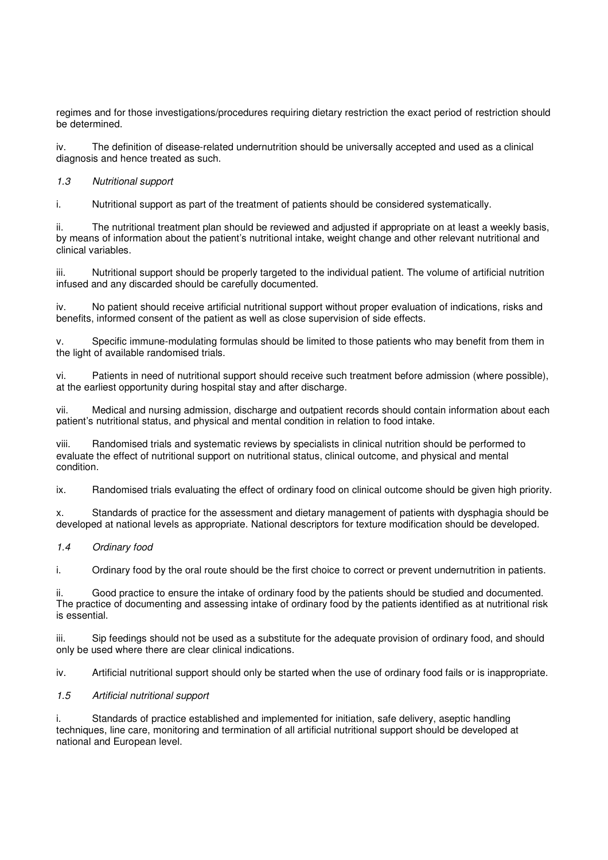regimes and for those investigations/procedures requiring dietary restriction the exact period of restriction should be determined.

iv. The definition of disease-related undernutrition should be universally accepted and used as a clinical diagnosis and hence treated as such.

1.3 Nutritional support

i. Nutritional support as part of the treatment of patients should be considered systematically.

ii. The nutritional treatment plan should be reviewed and adjusted if appropriate on at least a weekly basis, by means of information about the patient's nutritional intake, weight change and other relevant nutritional and clinical variables.

iii. Nutritional support should be properly targeted to the individual patient. The volume of artificial nutrition infused and any discarded should be carefully documented.

iv. No patient should receive artificial nutritional support without proper evaluation of indications, risks and benefits, informed consent of the patient as well as close supervision of side effects.

v. Specific immune-modulating formulas should be limited to those patients who may benefit from them in the light of available randomised trials.

vi. Patients in need of nutritional support should receive such treatment before admission (where possible), at the earliest opportunity during hospital stay and after discharge.

vii. Medical and nursing admission, discharge and outpatient records should contain information about each patient's nutritional status, and physical and mental condition in relation to food intake.

viii. Randomised trials and systematic reviews by specialists in clinical nutrition should be performed to evaluate the effect of nutritional support on nutritional status, clinical outcome, and physical and mental condition.

ix. Randomised trials evaluating the effect of ordinary food on clinical outcome should be given high priority.

x. Standards of practice for the assessment and dietary management of patients with dysphagia should be developed at national levels as appropriate. National descriptors for texture modification should be developed.

#### 1.4 Ordinary food

i. Ordinary food by the oral route should be the first choice to correct or prevent undernutrition in patients.

Good practice to ensure the intake of ordinary food by the patients should be studied and documented. The practice of documenting and assessing intake of ordinary food by the patients identified as at nutritional risk is essential.

iii. Sip feedings should not be used as a substitute for the adequate provision of ordinary food, and should only be used where there are clear clinical indications.

iv. Artificial nutritional support should only be started when the use of ordinary food fails or is inappropriate.

## 1.5 Artificial nutritional support

i. Standards of practice established and implemented for initiation, safe delivery, aseptic handling techniques, line care, monitoring and termination of all artificial nutritional support should be developed at national and European level.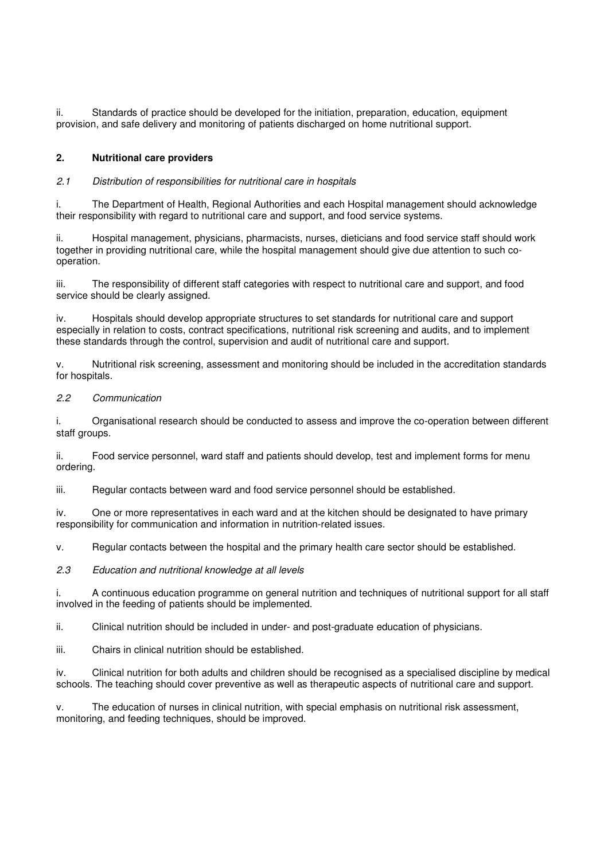ii. Standards of practice should be developed for the initiation, preparation, education, equipment provision, and safe delivery and monitoring of patients discharged on home nutritional support.

## **2. Nutritional care providers**

## 2.1 Distribution of responsibilities for nutritional care in hospitals

i. The Department of Health, Regional Authorities and each Hospital management should acknowledge their responsibility with regard to nutritional care and support, and food service systems.

ii. Hospital management, physicians, pharmacists, nurses, dieticians and food service staff should work together in providing nutritional care, while the hospital management should give due attention to such cooperation.

iii. The responsibility of different staff categories with respect to nutritional care and support, and food service should be clearly assigned.

iv. Hospitals should develop appropriate structures to set standards for nutritional care and support especially in relation to costs, contract specifications, nutritional risk screening and audits, and to implement these standards through the control, supervision and audit of nutritional care and support.

v. Nutritional risk screening, assessment and monitoring should be included in the accreditation standards for hospitals.

#### 2.2 Communication

i. Organisational research should be conducted to assess and improve the co-operation between different staff groups.

ii. Food service personnel, ward staff and patients should develop, test and implement forms for menu ordering.

iii. Regular contacts between ward and food service personnel should be established.

iv. One or more representatives in each ward and at the kitchen should be designated to have primary responsibility for communication and information in nutrition-related issues.

v. Regular contacts between the hospital and the primary health care sector should be established.

2.3 Education and nutritional knowledge at all levels

i. A continuous education programme on general nutrition and techniques of nutritional support for all staff involved in the feeding of patients should be implemented.

ii. Clinical nutrition should be included in under- and post-graduate education of physicians.

iii. Chairs in clinical nutrition should be established.

iv. Clinical nutrition for both adults and children should be recognised as a specialised discipline by medical schools. The teaching should cover preventive as well as therapeutic aspects of nutritional care and support.

v. The education of nurses in clinical nutrition, with special emphasis on nutritional risk assessment, monitoring, and feeding techniques, should be improved.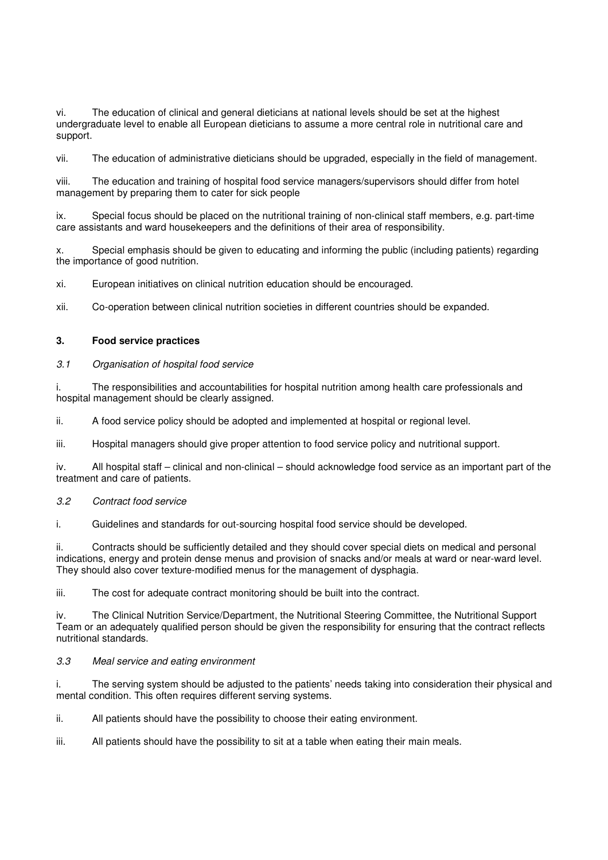vi. The education of clinical and general dieticians at national levels should be set at the highest undergraduate level to enable all European dieticians to assume a more central role in nutritional care and support.

vii. The education of administrative dieticians should be upgraded, especially in the field of management.

viii. The education and training of hospital food service managers/supervisors should differ from hotel management by preparing them to cater for sick people

ix. Special focus should be placed on the nutritional training of non-clinical staff members, e.g. part-time care assistants and ward housekeepers and the definitions of their area of responsibility.

x. Special emphasis should be given to educating and informing the public (including patients) regarding the importance of good nutrition.

xi. European initiatives on clinical nutrition education should be encouraged.

xii. Co-operation between clinical nutrition societies in different countries should be expanded.

#### **3. Food service practices**

#### 3.1 Organisation of hospital food service

i. The responsibilities and accountabilities for hospital nutrition among health care professionals and hospital management should be clearly assigned.

ii. A food service policy should be adopted and implemented at hospital or regional level.

iii. Hospital managers should give proper attention to food service policy and nutritional support.

iv. All hospital staff – clinical and non-clinical – should acknowledge food service as an important part of the treatment and care of patients.

#### 3.2 Contract food service

i. Guidelines and standards for out-sourcing hospital food service should be developed.

ii. Contracts should be sufficiently detailed and they should cover special diets on medical and personal indications, energy and protein dense menus and provision of snacks and/or meals at ward or near-ward level. They should also cover texture-modified menus for the management of dysphagia.

iii. The cost for adequate contract monitoring should be built into the contract.

iv. The Clinical Nutrition Service/Department, the Nutritional Steering Committee, the Nutritional Support Team or an adequately qualified person should be given the responsibility for ensuring that the contract reflects nutritional standards.

## 3.3 Meal service and eating environment

i. The serving system should be adjusted to the patients' needs taking into consideration their physical and mental condition. This often requires different serving systems.

ii. All patients should have the possibility to choose their eating environment.

iii. All patients should have the possibility to sit at a table when eating their main meals.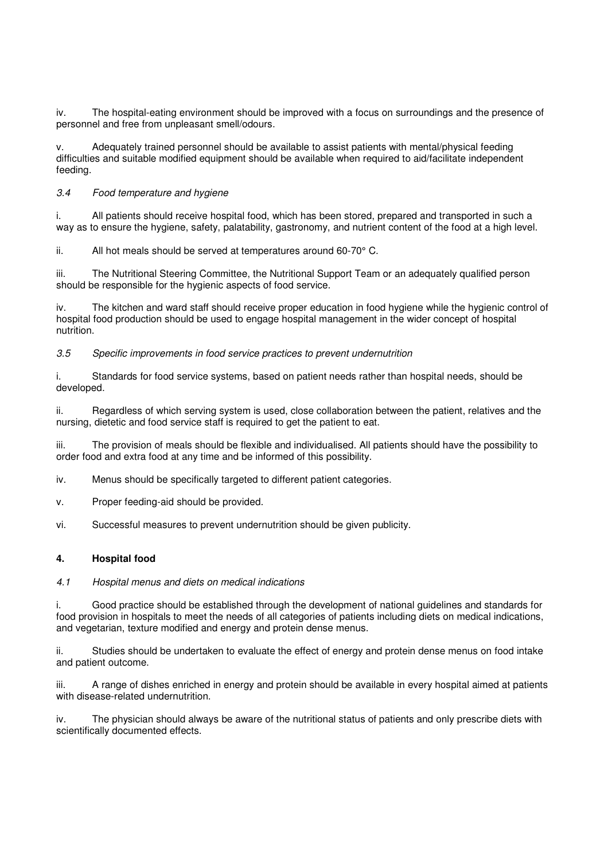iv. The hospital-eating environment should be improved with a focus on surroundings and the presence of personnel and free from unpleasant smell/odours.

Adequately trained personnel should be available to assist patients with mental/physical feeding difficulties and suitable modified equipment should be available when required to aid/facilitate independent feeding.

## 3.4 Food temperature and hygiene

i. All patients should receive hospital food, which has been stored, prepared and transported in such a way as to ensure the hygiene, safety, palatability, gastronomy, and nutrient content of the food at a high level.

ii. All hot meals should be served at temperatures around 60-70° C.

iii. The Nutritional Steering Committee, the Nutritional Support Team or an adequately qualified person should be responsible for the hygienic aspects of food service.

iv. The kitchen and ward staff should receive proper education in food hygiene while the hygienic control of hospital food production should be used to engage hospital management in the wider concept of hospital nutrition.

#### 3.5 Specific improvements in food service practices to prevent undernutrition

i. Standards for food service systems, based on patient needs rather than hospital needs, should be developed.

ii. Regardless of which serving system is used, close collaboration between the patient, relatives and the nursing, dietetic and food service staff is required to get the patient to eat.

iii. The provision of meals should be flexible and individualised. All patients should have the possibility to order food and extra food at any time and be informed of this possibility.

iv. Menus should be specifically targeted to different patient categories.

v. Proper feeding-aid should be provided.

vi. Successful measures to prevent undernutrition should be given publicity.

## **4. Hospital food**

#### 4.1 Hospital menus and diets on medical indications

i. Good practice should be established through the development of national guidelines and standards for food provision in hospitals to meet the needs of all categories of patients including diets on medical indications, and vegetarian, texture modified and energy and protein dense menus.

ii. Studies should be undertaken to evaluate the effect of energy and protein dense menus on food intake and patient outcome.

iii. A range of dishes enriched in energy and protein should be available in every hospital aimed at patients with disease-related undernutrition.

iv. The physician should always be aware of the nutritional status of patients and only prescribe diets with scientifically documented effects.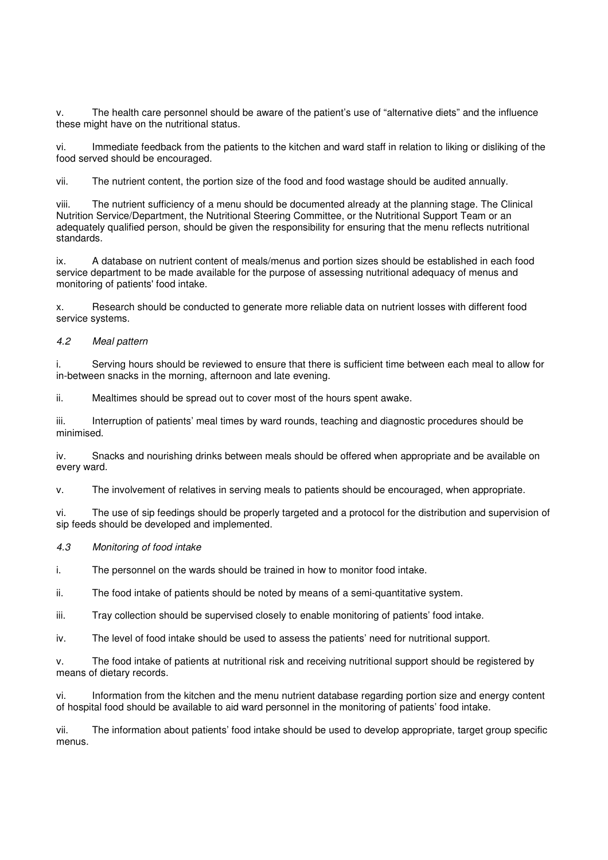v. The health care personnel should be aware of the patient's use of "alternative diets" and the influence these might have on the nutritional status.

vi. Immediate feedback from the patients to the kitchen and ward staff in relation to liking or disliking of the food served should be encouraged.

vii. The nutrient content, the portion size of the food and food wastage should be audited annually.

viii. The nutrient sufficiency of a menu should be documented already at the planning stage. The Clinical Nutrition Service/Department, the Nutritional Steering Committee, or the Nutritional Support Team or an adequately qualified person, should be given the responsibility for ensuring that the menu reflects nutritional standards.

ix. A database on nutrient content of meals/menus and portion sizes should be established in each food service department to be made available for the purpose of assessing nutritional adequacy of menus and monitoring of patients' food intake.

x. Research should be conducted to generate more reliable data on nutrient losses with different food service systems.

#### 4.2 Meal pattern

i. Serving hours should be reviewed to ensure that there is sufficient time between each meal to allow for in-between snacks in the morning, afternoon and late evening.

ii. Mealtimes should be spread out to cover most of the hours spent awake.

iii. Interruption of patients' meal times by ward rounds, teaching and diagnostic procedures should be minimised.

iv. Snacks and nourishing drinks between meals should be offered when appropriate and be available on every ward.

v. The involvement of relatives in serving meals to patients should be encouraged, when appropriate.

vi. The use of sip feedings should be properly targeted and a protocol for the distribution and supervision of sip feeds should be developed and implemented.

#### 4.3 Monitoring of food intake

i. The personnel on the wards should be trained in how to monitor food intake.

ii. The food intake of patients should be noted by means of a semi-quantitative system.

iii. Tray collection should be supervised closely to enable monitoring of patients' food intake.

iv. The level of food intake should be used to assess the patients' need for nutritional support.

v. The food intake of patients at nutritional risk and receiving nutritional support should be registered by means of dietary records.

vi. Information from the kitchen and the menu nutrient database regarding portion size and energy content of hospital food should be available to aid ward personnel in the monitoring of patients' food intake.

vii. The information about patients' food intake should be used to develop appropriate, target group specific menus.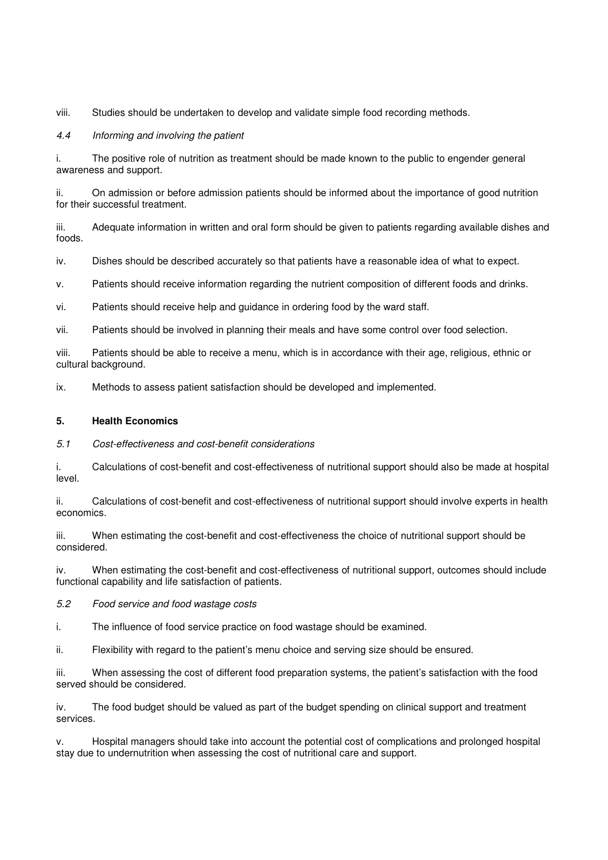viii. Studies should be undertaken to develop and validate simple food recording methods.

## 4.4 Informing and involving the patient

i. The positive role of nutrition as treatment should be made known to the public to engender general awareness and support.

ii. On admission or before admission patients should be informed about the importance of good nutrition for their successful treatment.

iii. Adequate information in written and oral form should be given to patients regarding available dishes and foods.

iv. Dishes should be described accurately so that patients have a reasonable idea of what to expect.

v. Patients should receive information regarding the nutrient composition of different foods and drinks.

vi. Patients should receive help and guidance in ordering food by the ward staff.

vii. Patients should be involved in planning their meals and have some control over food selection.

viii. Patients should be able to receive a menu, which is in accordance with their age, religious, ethnic or cultural background.

ix. Methods to assess patient satisfaction should be developed and implemented.

## **5. Health Economics**

#### 5.1 Cost-effectiveness and cost-benefit considerations

i. Calculations of cost-benefit and cost-effectiveness of nutritional support should also be made at hospital level.

ii. Calculations of cost-benefit and cost-effectiveness of nutritional support should involve experts in health economics.

iii. When estimating the cost-benefit and cost-effectiveness the choice of nutritional support should be considered.

iv. When estimating the cost-benefit and cost-effectiveness of nutritional support, outcomes should include functional capability and life satisfaction of patients.

#### 5.2 Food service and food wastage costs

i. The influence of food service practice on food wastage should be examined.

ii. Flexibility with regard to the patient's menu choice and serving size should be ensured.

iii. When assessing the cost of different food preparation systems, the patient's satisfaction with the food served should be considered.

iv. The food budget should be valued as part of the budget spending on clinical support and treatment services.

v. Hospital managers should take into account the potential cost of complications and prolonged hospital stay due to undernutrition when assessing the cost of nutritional care and support.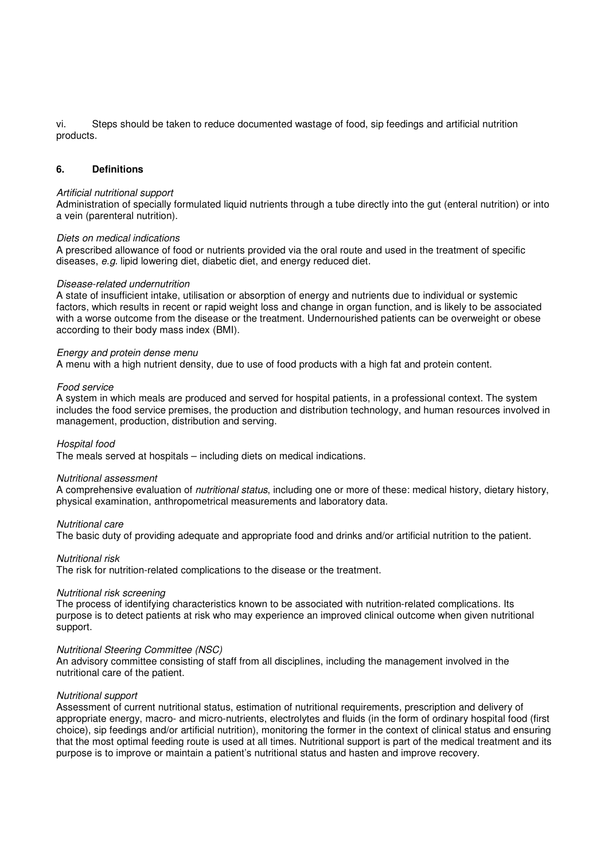vi. Steps should be taken to reduce documented wastage of food, sip feedings and artificial nutrition products.

#### **6. Definitions**

#### Artificial nutritional support

Administration of specially formulated liquid nutrients through a tube directly into the gut (enteral nutrition) or into a vein (parenteral nutrition).

#### Diets on medical indications

A prescribed allowance of food or nutrients provided via the oral route and used in the treatment of specific diseases, e.g. lipid lowering diet, diabetic diet, and energy reduced diet.

#### Disease-related undernutrition

A state of insufficient intake, utilisation or absorption of energy and nutrients due to individual or systemic factors, which results in recent or rapid weight loss and change in organ function, and is likely to be associated with a worse outcome from the disease or the treatment. Undernourished patients can be overweight or obese according to their body mass index (BMI).

#### Energy and protein dense menu

A menu with a high nutrient density, due to use of food products with a high fat and protein content.

#### Food service

A system in which meals are produced and served for hospital patients, in a professional context. The system includes the food service premises, the production and distribution technology, and human resources involved in management, production, distribution and serving.

#### Hospital food

The meals served at hospitals – including diets on medical indications.

#### Nutritional assessment

A comprehensive evaluation of nutritional status, including one or more of these: medical history, dietary history, physical examination, anthropometrical measurements and laboratory data.

#### Nutritional care

The basic duty of providing adequate and appropriate food and drinks and/or artificial nutrition to the patient.

#### Nutritional risk

The risk for nutrition-related complications to the disease or the treatment.

#### Nutritional risk screening

The process of identifying characteristics known to be associated with nutrition-related complications. Its purpose is to detect patients at risk who may experience an improved clinical outcome when given nutritional support.

#### Nutritional Steering Committee (NSC)

An advisory committee consisting of staff from all disciplines, including the management involved in the nutritional care of the patient.

#### Nutritional support

Assessment of current nutritional status, estimation of nutritional requirements, prescription and delivery of appropriate energy, macro- and micro-nutrients, electrolytes and fluids (in the form of ordinary hospital food (first choice), sip feedings and/or artificial nutrition), monitoring the former in the context of clinical status and ensuring that the most optimal feeding route is used at all times. Nutritional support is part of the medical treatment and its purpose is to improve or maintain a patient's nutritional status and hasten and improve recovery.